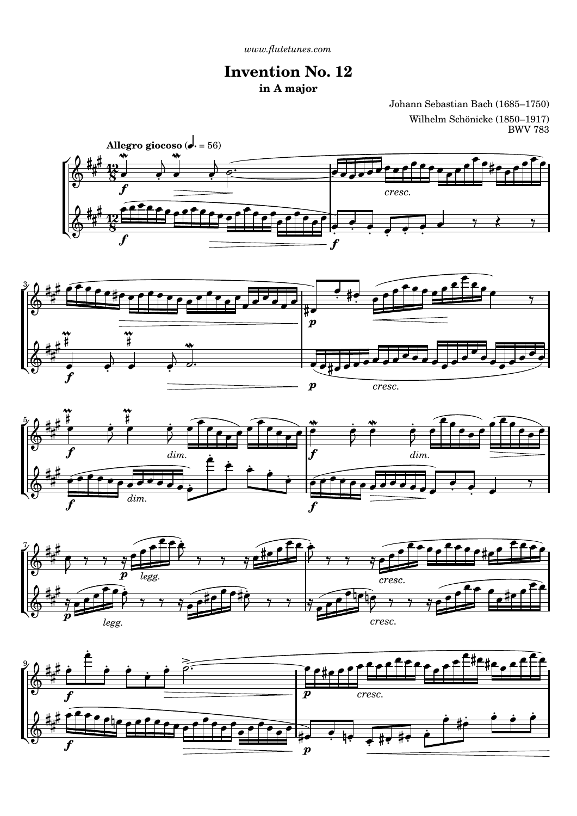## **Invention No. 12 in A major**

Johann Sebastian Bach (1685–1750) Wilhelm Schönicke (1850–1917) BWV 783